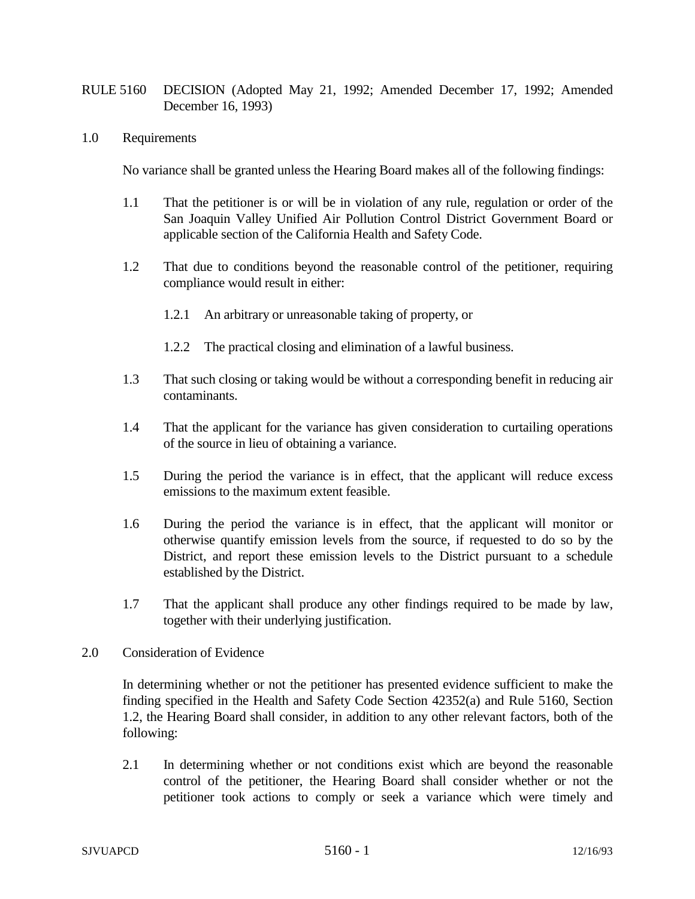- RULE 5160 DECISION (Adopted May 21, 1992; Amended December 17, 1992; Amended December 16, 1993)
- 1.0 Requirements

No variance shall be granted unless the Hearing Board makes all of the following findings:

- 1.1 That the petitioner is or will be in violation of any rule, regulation or order of the San Joaquin Valley Unified Air Pollution Control District Government Board or applicable section of the California Health and Safety Code.
- 1.2 That due to conditions beyond the reasonable control of the petitioner, requiring compliance would result in either:
	- 1.2.1 An arbitrary or unreasonable taking of property, or
	- 1.2.2 The practical closing and elimination of a lawful business.
- 1.3 That such closing or taking would be without a corresponding benefit in reducing air contaminants.
- 1.4 That the applicant for the variance has given consideration to curtailing operations of the source in lieu of obtaining a variance.
- 1.5 During the period the variance is in effect, that the applicant will reduce excess emissions to the maximum extent feasible.
- 1.6 During the period the variance is in effect, that the applicant will monitor or otherwise quantify emission levels from the source, if requested to do so by the District, and report these emission levels to the District pursuant to a schedule established by the District.
- 1.7 That the applicant shall produce any other findings required to be made by law, together with their underlying justification.
- 2.0 Consideration of Evidence

In determining whether or not the petitioner has presented evidence sufficient to make the finding specified in the Health and Safety Code Section 42352(a) and Rule 5160, Section 1.2, the Hearing Board shall consider, in addition to any other relevant factors, both of the following:

2.1 In determining whether or not conditions exist which are beyond the reasonable control of the petitioner, the Hearing Board shall consider whether or not the petitioner took actions to comply or seek a variance which were timely and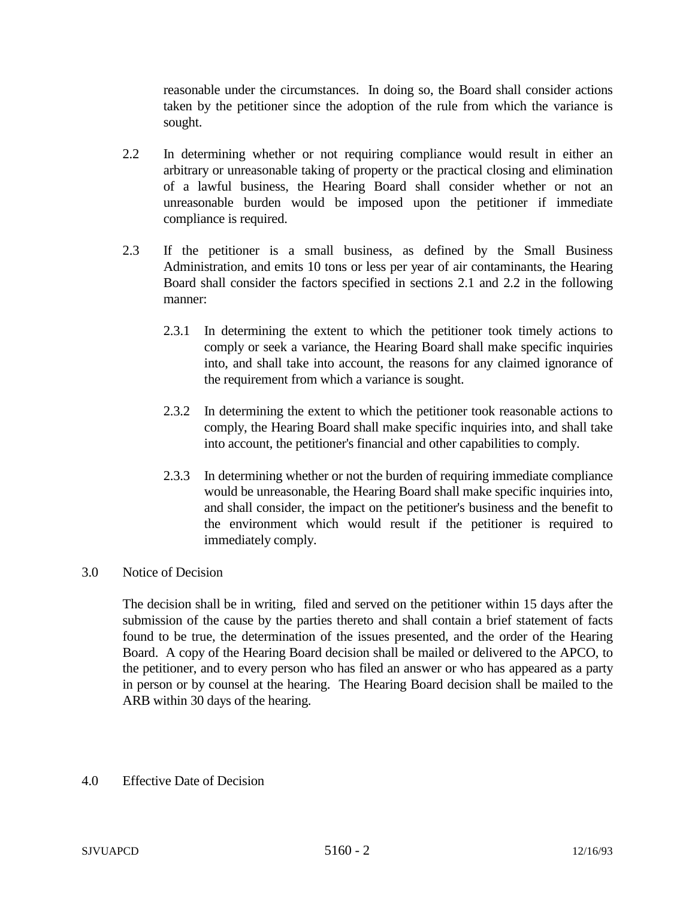reasonable under the circumstances. In doing so, the Board shall consider actions taken by the petitioner since the adoption of the rule from which the variance is sought.

- 2.2 In determining whether or not requiring compliance would result in either an arbitrary or unreasonable taking of property or the practical closing and elimination of a lawful business, the Hearing Board shall consider whether or not an unreasonable burden would be imposed upon the petitioner if immediate compliance is required.
- 2.3 If the petitioner is a small business, as defined by the Small Business Administration, and emits 10 tons or less per year of air contaminants, the Hearing Board shall consider the factors specified in sections 2.1 and 2.2 in the following manner:
	- 2.3.1 In determining the extent to which the petitioner took timely actions to comply or seek a variance, the Hearing Board shall make specific inquiries into, and shall take into account, the reasons for any claimed ignorance of the requirement from which a variance is sought.
	- 2.3.2 In determining the extent to which the petitioner took reasonable actions to comply, the Hearing Board shall make specific inquiries into, and shall take into account, the petitioner's financial and other capabilities to comply.
	- 2.3.3 In determining whether or not the burden of requiring immediate compliance would be unreasonable, the Hearing Board shall make specific inquiries into, and shall consider, the impact on the petitioner's business and the benefit to the environment which would result if the petitioner is required to immediately comply.

## 3.0 Notice of Decision

The decision shall be in writing, filed and served on the petitioner within 15 days after the submission of the cause by the parties thereto and shall contain a brief statement of facts found to be true, the determination of the issues presented, and the order of the Hearing Board. A copy of the Hearing Board decision shall be mailed or delivered to the APCO, to the petitioner, and to every person who has filed an answer or who has appeared as a party in person or by counsel at the hearing. The Hearing Board decision shall be mailed to the ARB within 30 days of the hearing.

## 4.0 Effective Date of Decision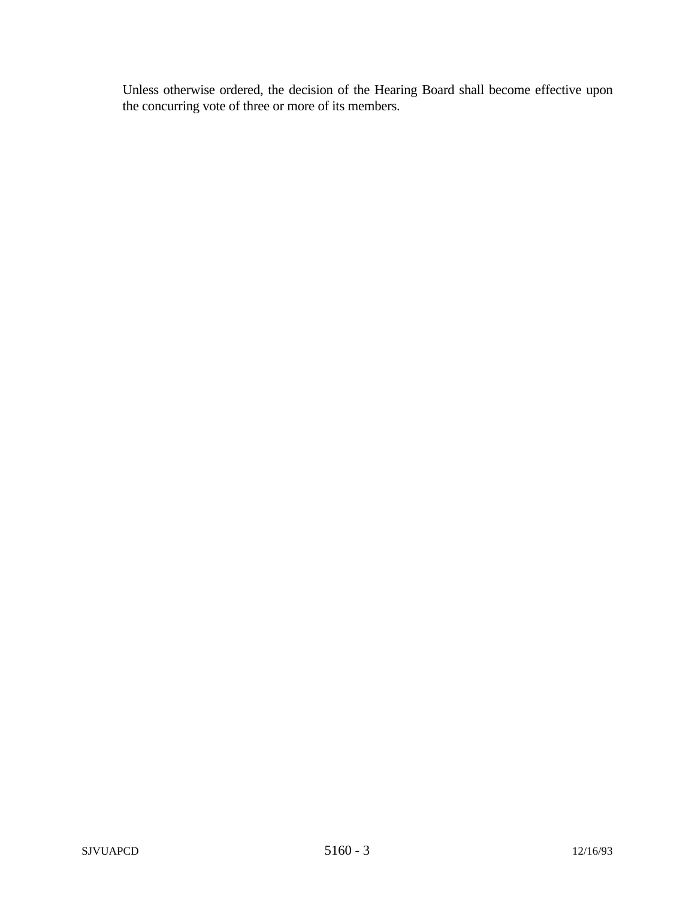Unless otherwise ordered, the decision of the Hearing Board shall become effective upon the concurring vote of three or more of its members.